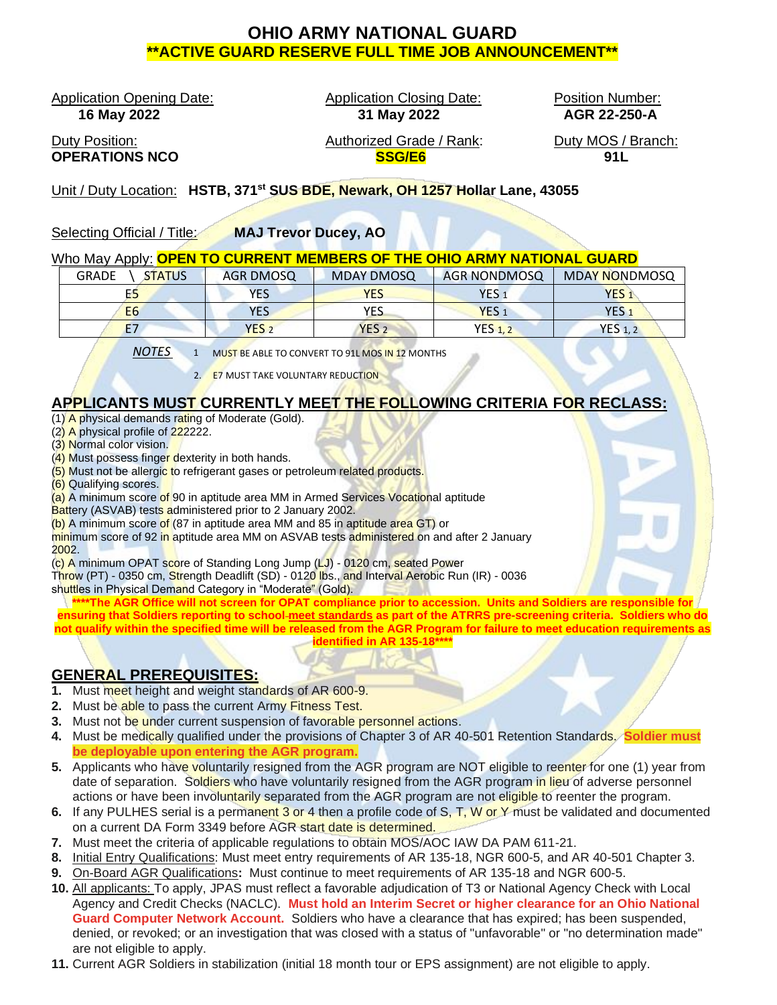# **OHIO ARMY NATIONAL GUARD \*\*ACTIVE GUARD RESERVE FULL TIME JOB ANNOUNCEMENT\*\***

Application Opening Date: Application Closing Date: Position Number:

 **16 May 2022 31 May 2022 AGR 22-250-A**

Duty Position: Authorized Grade / Rank: Duty MOS / Branch: **OPERATIONS NCO SSG/E6 91L**

Unit / Duty Location: **HSTB, 371st SUS BDE, Newark, OH 1257 Hollar Lane, 43055**

Selecting Official / Title: **MAJ Trevor Ducey, AO**

### Who May Apply: **OPEN TO CURRENT MEMBERS OF THE OHIO ARMY NATIONAL GUARD**

| <b>GRADE</b><br><b>STATUS</b> | <b>AGR DMOSQ</b> | <b>MDAY DMOSQ</b> | <b>AGR NONDMOSQ</b> | MDAY NONDMOSQ    |
|-------------------------------|------------------|-------------------|---------------------|------------------|
| Ε5                            | <b>YES</b>       | <b>YES</b>        | YES,                | YES .            |
| E <sub>6</sub>                | YES              | YES               | YES <sub>1</sub>    | YES <sub>1</sub> |
|                               | YES <sub>2</sub> | YES <sub>2</sub>  | <b>YES 1, 2</b>     | <b>YES</b> 1, 2  |

*NOTES* 1 MUST BE ABLE TO CONVERT TO 91L MOS IN 12 MONTHS

2. E7 MUST TAKE VOLUNTARY REDUCTION

# **APPLICANTS MUST CURRENTLY MEET THE FOLLOWING CRITERIA FOR RECLASS:**

- (1) A physical demands rating of Moderate (Gold).
- (2) A physical profile of 222222.
- (3) Normal color vision.
- (4) Must possess finger dexterity in both hands.
- (5) Must not be allergic to refrigerant gases or petroleum related products.
- (6) Qualifying scores.

(a) A minimum score of 90 in aptitude area MM in Armed Services Vocational aptitude

Battery (ASVAB) tests administered prior to 2 January 2002.

(b) A minimum score of (87 in aptitude area MM and 85 in aptitude area GT) or

minimum score of 92 in aptitude area MM on ASVAB tests administered on and after 2 January 2002.

(c) A minimum OPAT score of Standing Long Jump (LJ) - 0120 cm, seated Power

Throw (PT) - 0350 cm, Strength Deadlift (SD) - 0120 lbs., and Interval Aerobic Run (IR) - 0036 shuttles in Physical Demand Category in "Moderate" (Gold).

**\*\*\*\*The AGR Office will not screen for OPAT compliance prior to accession. Units and Soldiers are responsible for ensuring that Soldiers reporting to school meet standards as part of the ATRRS pre-screening criteria. Soldiers who do not qualify within the specified time will be released from the AGR Program for failure to meet education requirements as identified in AR 135-18\*\*\*\***

# **GENERAL PREREQUISITES:**

- **1.** Must meet height and weight standards of AR 600-9.
- **2.** Must be able to pass the current Army Fitness Test.
- **3.** Must not be under current suspension of favorable personnel actions.
- **4.** Must be medically qualified under the provisions of Chapter 3 of AR 40-501 Retention Standards. **Soldier must be deployable upon entering the AGR program.**
- **5.** Applicants who have voluntarily resigned from the AGR program are NOT eligible to reenter for one (1) year from date of separation. Soldiers who have voluntarily resigned from the AGR program in lieu of adverse personnel actions or have been involuntarily separated from the AGR program are not eligible to reenter the program.
- **6.** If any PULHES serial is a permanent 3 or 4 then a profile code of S, T, W or Y must be validated and documented on a current DA Form 3349 before AGR start date is determined.
- **7.** Must meet the criteria of applicable regulations to obtain MOS/AOC IAW DA PAM 611-21.
- **8.** Initial Entry Qualifications: Must meet entry requirements of AR 135-18, NGR 600-5, and AR 40-501 Chapter 3.
- **9.** On-Board AGR Qualifications**:** Must continue to meet requirements of AR 135-18 and NGR 600-5.
- **10.** All applicants: To apply, JPAS must reflect a favorable adjudication of T3 or National Agency Check with Local Agency and Credit Checks (NACLC). **Must hold an Interim Secret or higher clearance for an Ohio National Guard Computer Network Account.** Soldiers who have a clearance that has expired; has been suspended, denied, or revoked; or an investigation that was closed with a status of "unfavorable" or "no determination made" are not eligible to apply.
- **11.** Current AGR Soldiers in stabilization (initial 18 month tour or EPS assignment) are not eligible to apply.